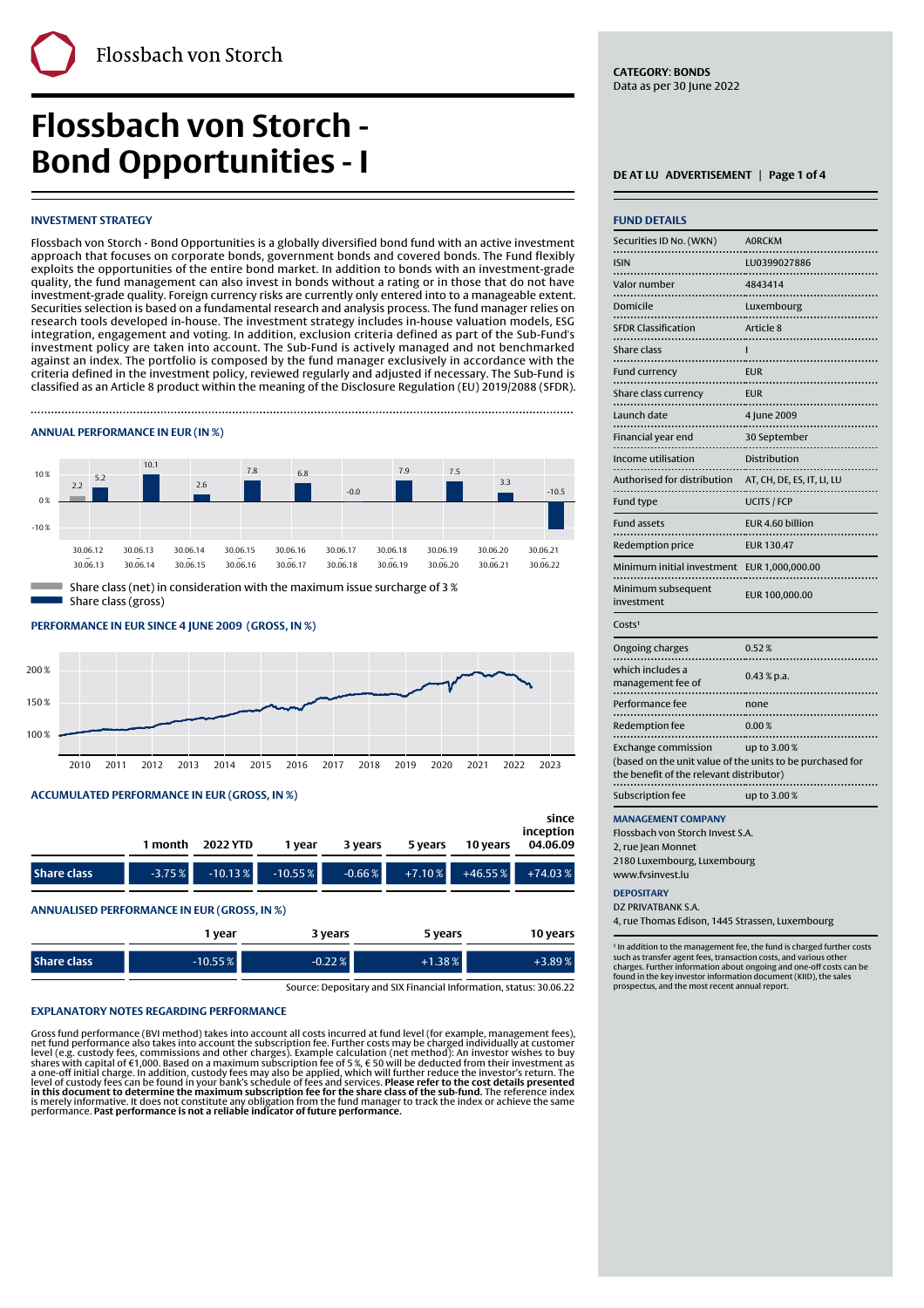# **Flossbach von Storch - Bond Opportunities - I DEATLU ADVERTISEMENT** | Page 1 of 4

# **INVESTMENT STRATEGY**

Flossbach von Storch - Bond Opportunities is a globally diversified bond fund with an active investment approach that focuses on corporate bonds, government bonds and covered bonds. The Fund flexibly exploits the opportunities of the entire bond market. In addition to bonds with an investment-grade quality, the fund management can also invest in bonds without a rating or in those that do not have investment-grade quality. Foreign currency risks are currently only entered into to a manageable extent. Securities selection is based on a fundamental research and analysis process. The fund manager relies on research tools developed in-house. The investment strategy includes in-house valuation models, ESG integration, engagement and voting. In addition, exclusion criteria defined as part of the Sub-Fund's investment policy are taken into account. The Sub-Fund is actively managed and not benchmarked against an index. The portfolio is composed by the fund manager exclusively in accordance with the criteria defined in the investment policy, reviewed regularly and adjusted if necessary. The Sub-Fund is classified as an Article 8 product within the meaning of the Disclosure Regulation (EU) 2019/2088 (SFDR).

Finally, the contract of the contract of the contract of the contract of the contract of the contract of the c

### **ANNUAL PERFORMANCE IN EUR (IN %)**



Share class (gross)

#### **PERFORMANCE IN EUR SINCE 4 JUNE 2009' (GROSS, IN %)**



#### **ACCUMULATED PERFORMANCE IN EUR (GROSS, IN %)**

|                    | 1 month  | 2022 YTD   | 1 vear     | 3 years  | 5 years   | 10 years | since<br>inception<br>04.06.09 |
|--------------------|----------|------------|------------|----------|-----------|----------|--------------------------------|
| <b>Share class</b> | $-3.75%$ | $-10.13\%$ | $-10.55\%$ | $-0.66%$ | $+7.10\%$ |          | $+46.55\%$ $+74.03\%$          |

#### **ANNUALISED PERFORMANCE IN EUR (GROSS, IN %)**

|                    | , vear    | 3 years  | 5 years  | 10 years  |
|--------------------|-----------|----------|----------|-----------|
| <b>Share class</b> | $-10.55%$ | $-0.22%$ | $+1.38%$ | $+3.89\%$ |

Source: Depositary and SIX Financial Information, status: 30.06.22

#### **EXPLANATORY NOTES REGARDING PERFORMANCE**

Gross fund performance (BVI method) takes into account all costs incurred at fund level (for example, management fees),<br>net fund performance also takes into account the subscription fee. Further costs may be charged indiv

**CATEGORY**: **BONDS** Data as per 30 June 2022

| <b>FUND DETAILS</b>                      |                                                                          |
|------------------------------------------|--------------------------------------------------------------------------|
| Securities ID No. (WKN)                  | <b>AORCKM</b>                                                            |
| <b>ISIN</b>                              | LU0399027886                                                             |
| $\ddotsc$<br>Valor number<br>.           | 4843414                                                                  |
| Domicile<br>.                            | Luxembourg                                                               |
| <b>SFDR Classification</b>               | Article 8                                                                |
| Share class                              | ı                                                                        |
| <b>Fund currency</b><br>.                | <b>EUR</b><br>                                                           |
| Share class currency                     | <b>EUR</b>                                                               |
| Launch date                              | 4 June 2009                                                              |
| Financial year end                       | 30 September                                                             |
| Income utilisation                       | Distribution                                                             |
| Authorised for distribution              | AT, CH, DE, ES, IT, LI, LU                                               |
| Fund type                                | <b>UCITS / FCP</b>                                                       |
| <b>Fund assets</b>                       | EUR 4.60 billion                                                         |
| Redemption price                         | <b>EUR 130.47</b>                                                        |
| Minimum initial investment               | EUR 1,000,000.00                                                         |
| Minimum subsequent<br>investment         | EUR 100,000.00                                                           |
| Costs <sup>1</sup>                       |                                                                          |
| Ongoing charges                          | 0.52%                                                                    |
| which includes a<br>management fee of    | $0.43 %$ p.a.                                                            |
| Performance fee<br>                      | none                                                                     |
| Redemption fee                           | 0.00%                                                                    |
| <b>Exchange commission</b>               | up to 3.00%<br>(based on the unit value of the units to be purchased for |
| the benefit of the relevant distributor) |                                                                          |
| Subscription fee                         | up to 3.00%                                                              |

Flossbach von Storch Invest S.A.

2, rue Jean Monnet 2180 Luxembourg, Luxembourg

www.fvsinvest.lu

#### **DEPOSITARY**

DZ PRIVATRANK S.A. 4, rue Thomas Edison, 1445 Strassen, Luxembourg

<sup>1</sup> In addition to the management fee, the fund is charged further costs such as transfer agent fees, transaction costs, and various other charges. Further information about ongoing and one-off costs can be found in the key investor information document (KIID), the sales prospectus, and the most recent annual report.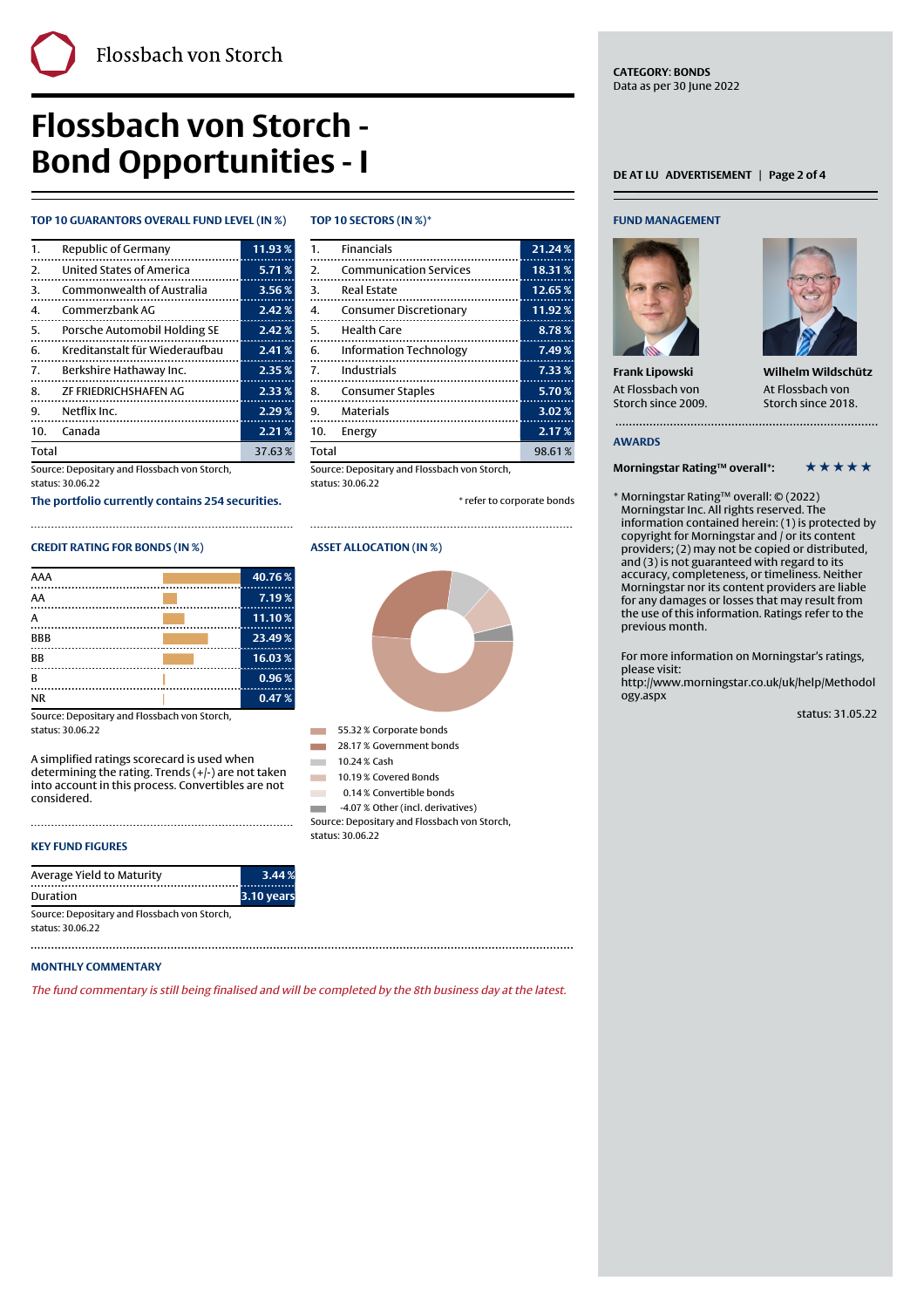# **Flossbach von Storch - Bond Opportunities - I** DEATLU ADVERTISEMENT | Page 2 of 4

# **TOP 10 GUARANTORS OVERALL FUND LEVEL (IN %)**

| $\mathbf{1}$ . | Republic of Germany            | 11.93% |
|----------------|--------------------------------|--------|
| 2.             | United States of America       | 5.71%  |
| 3.             | Commonwealth of Australia      | 3.56%  |
| 4.             | Commerzbank AG                 | 2.42%  |
| 5.             | Porsche Automobil Holding SE   | 2.42%  |
| 6.             | Kreditanstalt für Wiederaufbau | 2.41%  |
| 7.             | Berkshire Hathaway Inc.        | 2.35%  |
|                | 8. ZF FRIEDRICHSHAFEN AG       | 2.33%  |
| 9.             | Netflix Inc.                   | 2.29%  |
| 10.            | Canada                         | 2.21%  |
| <b>Total</b>   |                                | 37.63% |

Source: Depositary and Flossbach von Storch, status: 30.06.22

**The portfolio currently contains 254 securities.**

# **CREDIT RATING FOR BONDS (IN %)**

| AAA        | 40.76% |
|------------|--------|
| AA         | 7.19%  |
| А          | 11.10% |
| <b>BBB</b> | 23.49% |
| BB         | 16.03% |
| в          | 0.96%  |
| <b>NR</b>  | 0.47%  |

Source: Depositary and Flossbach von Storch, status: 30.06.22

A simplified ratings scorecard is used when determining the rating. Trends (+/-) are not taken into account in this process. Convertibles are not considered.

# **KEY FUND FIGURES**

| Average Yield to Maturity                                        | 3.44 %     |
|------------------------------------------------------------------|------------|
| Duration                                                         | 3.10 years |
| Source: Depositary and Flossbach von Storch,<br>status: 30.06.22 |            |

### **MONTHLY COMMENTARY**

The fund commentary is still being finalised and will be completed by the 8th business day at the latest.

#### **TOP 10 SECTORS (IN %)\***

Finally, the contract of the contract of the contract of the contract of the contract of the contract of the c

| <b>Financials</b><br>1.             | 21.24% |
|-------------------------------------|--------|
| 2.<br><b>Communication Services</b> | 18.31% |
| 3.<br><b>Real Estate</b>            | 12.65% |
| 4.<br>Consumer Discretionary        | 11.92% |
| 5.<br><b>Health Care</b>            | 8.78%  |
| 6.<br><b>Information Technology</b> | 7.49%  |
| 7.<br>Industrials                   | 7.33%  |
| 8.<br><b>Consumer Staples</b>       | 5.70%  |
| 9.<br><b>Materials</b>              | 3.02%  |
| 10.<br>Energy                       | 2.17%  |
| Total                               | 98.61% |
|                                     |        |

Source: Depositary and Flossbach von Storch, status: 30.06.22

\* refer to corporate bonds

#### **ASSET ALLOCATION (IN %)**



55.32 % Corporate bonds

- **1 28.17 % Government bonds**
- $10.24 %$  Cash 10.19% Covered Bonds
- **12 0.14% Convertible bonds**
- 1 -4.07 % Other (incl. derivatives)

Source: Depositary and Flossbach von Storch, status: 30.06.22

### **FUND MANAGEMENT**

**CATEGORY**: **BONDS** Data as per 30 June 2022



**Frank Lipowski** At Flossbach von Storch since 2009.



**Wilhelm Wildschütz** At Flossbach von Storch since 2018.

#### **AWARDS**

# **Morningstar Rating™ overall\*:** \* \* \* \* \* \*

\* Morningstar Rating™ overall: © (2022) Morningstar Inc. All rights reserved. The information contained herein: (1) is protected by copyright for Morningstar and / or its content providers; (2) may not be copied or distributed, and (3) is not guaranteed with regard to its accuracy, completeness, or timeliness. Neither Morningstar nor its content providers are liable for any damages or losses that may result from the use of this information. Ratings refer to the previous month.

For more information on Morningstar's ratings, please visit:

[http://www.morningstar.co.uk/uk/help/Methodol](http://www.morningstar.co.uk/uk/help/Methodology.aspx) [ogy.aspx](http://www.morningstar.co.uk/uk/help/Methodology.aspx)

status: 31.05.22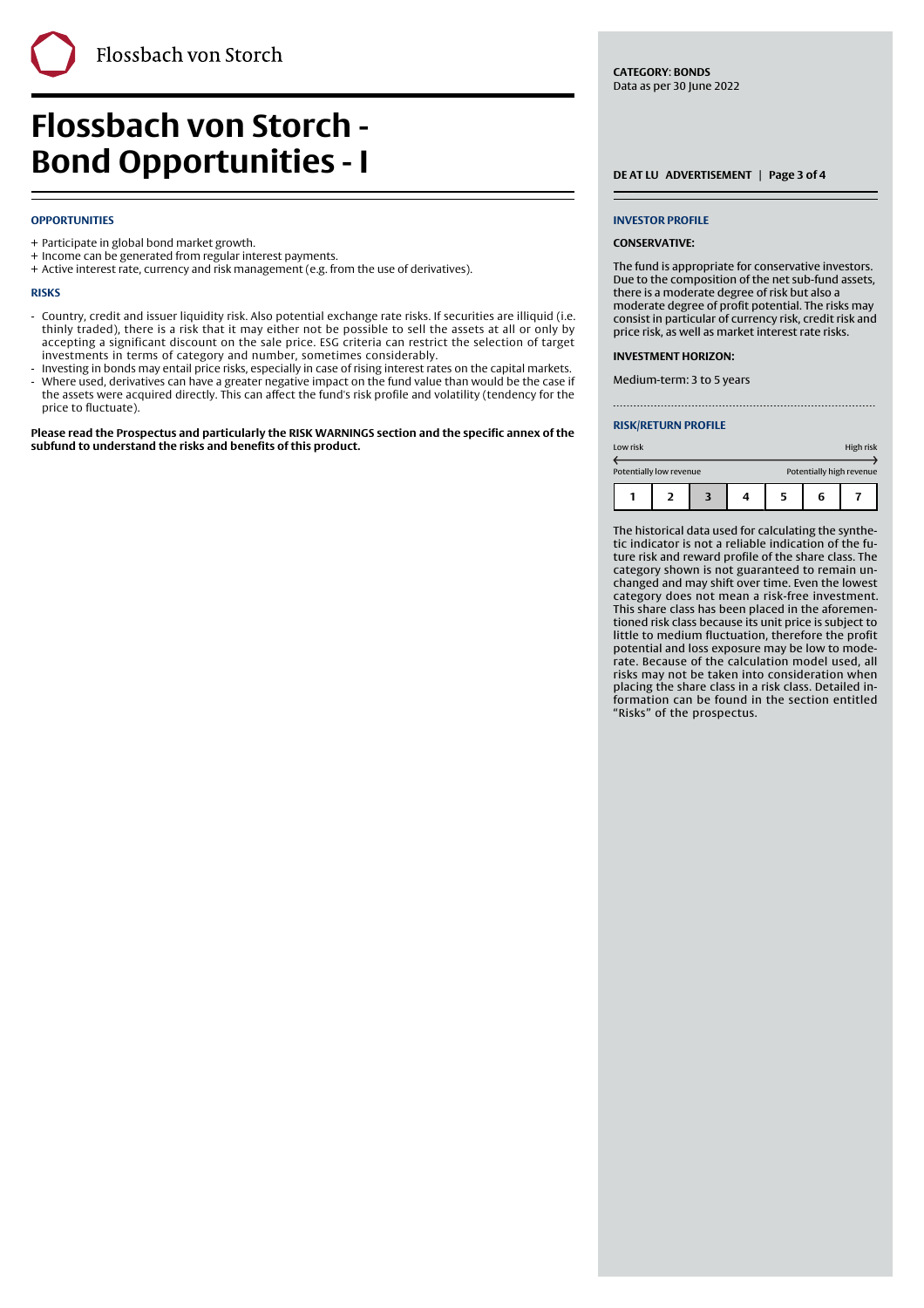**Flossbach von Storch - Bond Opportunities - I** DEATLU ADVERTISEMENT | Page 3 of 4

### **OPPORTUNITIES**

- + Participate in global bond market growth.
- + Income can be generated from regular interest payments.
- + Active interest rate, currency and risk management (e.g. from the use of derivatives).

#### **RISKS**

Country, credit and issuer liquidity risk. Also potential exchange rate risks. If securities are illiquid (i.e. thinly traded), there is a risk that it may either not be possible to sell the assets at all or only by accepting a significant discount on the sale price. ESG criteria can restrict the selection of target investments in terms of category and number, sometimes considerably. -

Finally, the contract of the contract of the contract of the contract of the contract of the contract of the c

- Investing in bonds may entail price risks, especially in case of rising interest rates on the capital markets. Where used, derivatives can have a greater negative impact on the fund value than would be the case if the assets were acquired directly. This can affect the fund's risk profile and volatility (tendency for the price to fluctuate). -

**Please read the Prospectus and particularly the RISK WARNINGS section and the specific annex of the subfund to understand the risks and benefits of this product.**

**CATEGORY**: **BONDS** Data as per 30 June 2022

#### **INVESTOR PROFILE**

#### **CONSERVATIVE:**

The fund is appropriate for conservative investors. Due to the composition of the net sub-fund assets, there is a moderate degree of risk but also a moderate degree of profit potential. The risks may consist in particular of currency risk, credit risk and price risk, as well as market interest rate risks.

#### **INVESTMENT HORIZON:**

Medium-term: 3 to 5 years

#### **RISK/RETURN PROFILE**

| Low risk |                         |  |  |                          | High risk |  |
|----------|-------------------------|--|--|--------------------------|-----------|--|
|          | Potentially low revenue |  |  | Potentially high revenue |           |  |
|          |                         |  |  | 5                        | 6         |  |

The historical data used for calculating the synthetic indicator is not a reliable indication of the future risk and reward profile of the share class. The category shown is not guaranteed to remain unchanged and may shift over time. Even the lowest category does not mean a risk-free investment. This share class has been placed in the aforementioned risk class because its unit price is subject to little to medium fluctuation, therefore the profit potential and loss exposure may be low to moderate. Because of the calculation model used, all risks may not be taken into consideration when placing the share class in a risk class. Detailed information can be found in the section entitled "Risks" of the prospectus.